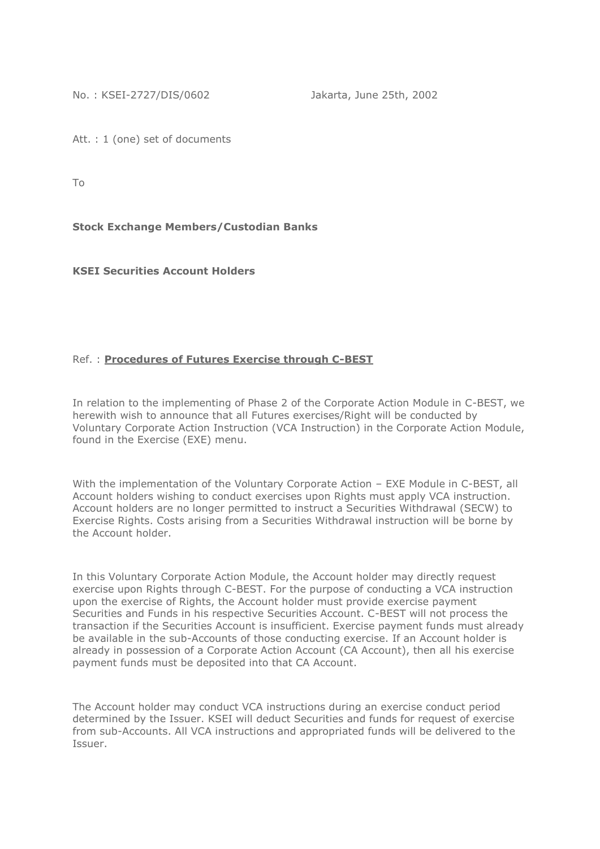No. : KSEI-2727/DIS/0602 Jakarta, June 25th, 2002

Att. : 1 (one) set of documents

To

**Stock Exchange Members/Custodian Banks**

**KSEI Securities Account Holders**

## Ref. : **Procedures of Futures Exercise through C-BEST**

In relation to the implementing of Phase 2 of the Corporate Action Module in C-BEST, we herewith wish to announce that all Futures exercises/Right will be conducted by Voluntary Corporate Action Instruction (VCA Instruction) in the Corporate Action Module, found in the Exercise (EXE) menu.

With the implementation of the Voluntary Corporate Action – EXE Module in C-BEST, all Account holders wishing to conduct exercises upon Rights must apply VCA instruction. Account holders are no longer permitted to instruct a Securities Withdrawal (SECW) to Exercise Rights. Costs arising from a Securities Withdrawal instruction will be borne by the Account holder.

In this Voluntary Corporate Action Module, the Account holder may directly request exercise upon Rights through C-BEST. For the purpose of conducting a VCA instruction upon the exercise of Rights, the Account holder must provide exercise payment Securities and Funds in his respective Securities Account. C-BEST will not process the transaction if the Securities Account is insufficient. Exercise payment funds must already be available in the sub-Accounts of those conducting exercise. If an Account holder is already in possession of a Corporate Action Account (CA Account), then all his exercise payment funds must be deposited into that CA Account.

The Account holder may conduct VCA instructions during an exercise conduct period determined by the Issuer. KSEI will deduct Securities and funds for request of exercise from sub-Accounts. All VCA instructions and appropriated funds will be delivered to the Issuer.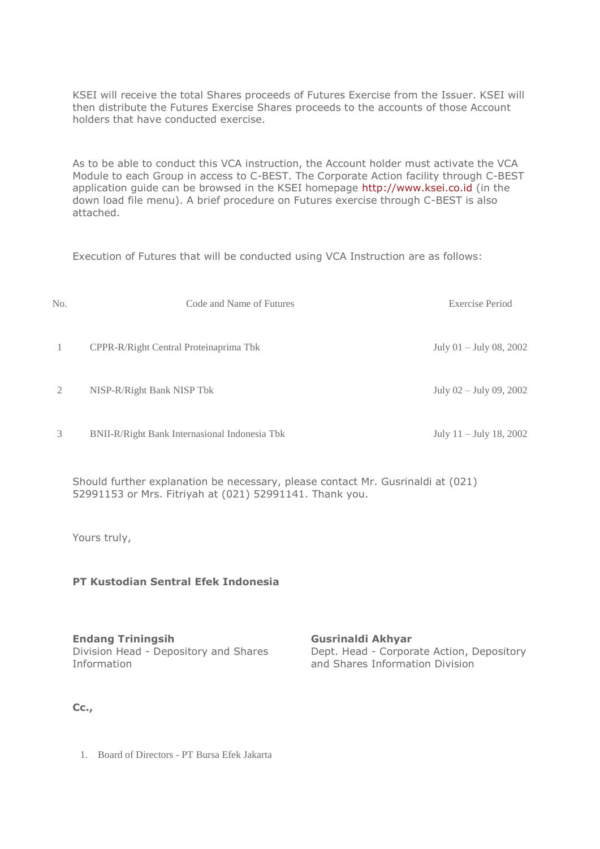KSEI will receive the total Shares proceeds of Futures Exercise from the Issuer. KSEI will then distribute the Futures Exercise Shares proceeds to the accounts of those Account holders that have conducted exercise.

As to be able to conduct this VCA instruction, the Account holder must activate the VCA Module to each Group in access to C-BEST. The Corporate Action facility through C-BEST application guide can be browsed in the KSEI homepage [http://www.ksei.co.id](http://www.ksei.co.id/) (in the down load file menu). A brief procedure on Futures exercise through C-BEST is also attached.

Execution of Futures that will be conducted using VCA Instruction are as follows:

| No.           | Code and Name of Futures                             | Exercise Period           |
|---------------|------------------------------------------------------|---------------------------|
| -1            | CPPR-R/Right Central Proteinaprima Tbk               | July $01 -$ July 08, 2002 |
| $\mathcal{L}$ | NISP-R/Right Bank NISP Tbk                           | July 02 - July 09, 2002   |
| 3             | <b>BNII-R/Right Bank Internasional Indonesia Tbk</b> | July $11 -$ July 18, 2002 |

Should further explanation be necessary, please contact Mr. Gusrinaldi at (021) 52991153 or Mrs. Fitriyah at (021) 52991141. Thank you.

Yours truly,

## **PT Kustodian Sentral Efek Indonesia**

**Endang Triningsih** Division Head - Depository and Shares Information

**Gusrinaldi Akhyar** Dept. Head - Corporate Action, Depository and Shares Information Division

**Cc.,**

1. Board of Directors - PT Bursa Efek Jakarta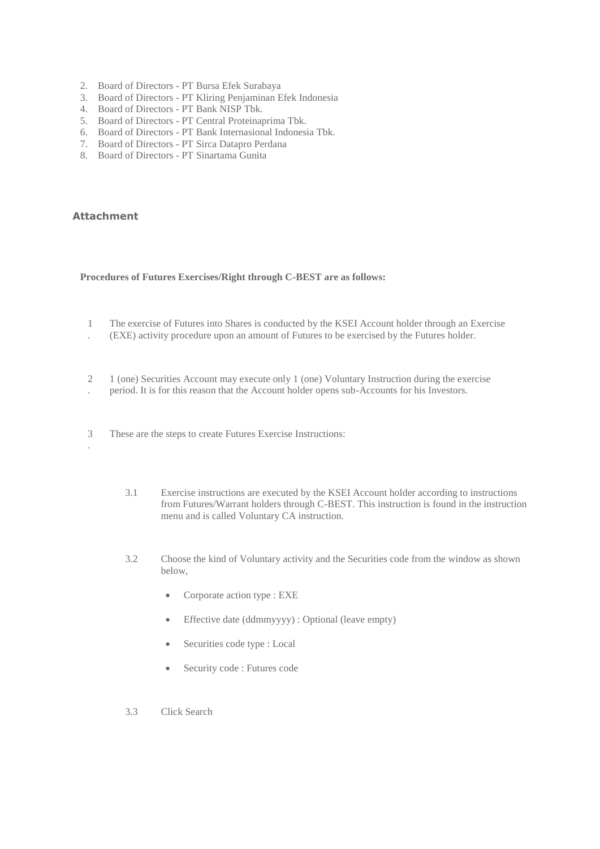- 2. Board of Directors PT Bursa Efek Surabaya
- 3. Board of Directors PT Kliring Penjaminan Efek Indonesia
- 4. Board of Directors PT Bank NISP Tbk.
- 5. Board of Directors PT Central Proteinaprima Tbk.
- 6. Board of Directors PT Bank Internasional Indonesia Tbk.
- 7. Board of Directors PT Sirca Datapro Perdana
- 8. Board of Directors PT Sinartama Gunita

## **Attachment**

.

## **Procedures of Futures Exercises/Right through C-BEST are as follows:**

- 1 The exercise of Futures into Shares is conducted by the KSEI Account holder through an Exercise
- . (EXE) activity procedure upon an amount of Futures to be exercised by the Futures holder.
- 2 1 (one) Securities Account may execute only 1 (one) Voluntary Instruction during the exercise
- . period. It is for this reason that the Account holder opens sub-Accounts for his Investors.
- 3 These are the steps to create Futures Exercise Instructions:
	- 3.1 Exercise instructions are executed by the KSEI Account holder according to instructions from Futures/Warrant holders through C-BEST. This instruction is found in the instruction menu and is called Voluntary CA instruction.
	- 3.2 Choose the kind of Voluntary activity and the Securities code from the window as shown below,
		- Corporate action type : EXE
		- Effective date (ddmmyyyy) : Optional (leave empty)
		- Securities code type : Local
		- Security code : Futures code
	- 3.3 Click Search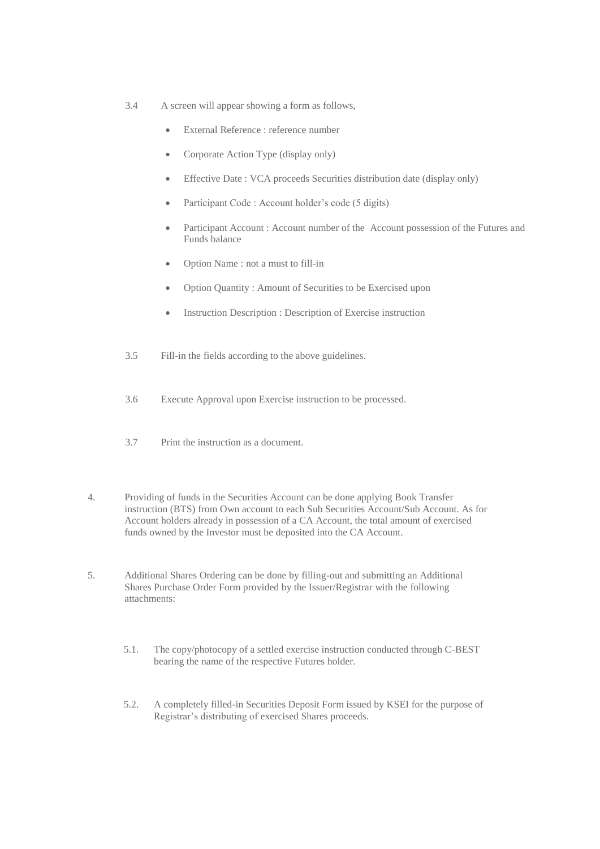- 3.4 A screen will appear showing a form as follows,
	- External Reference : reference number
	- Corporate Action Type (display only)
	- Effective Date : VCA proceeds Securities distribution date (display only)
	- Participant Code : Account holder's code (5 digits)
	- Participant Account : Account number of the Account possession of the Futures and Funds balance
	- Option Name : not a must to fill-in
	- Option Quantity : Amount of Securities to be Exercised upon
	- Instruction Description : Description of Exercise instruction
- 3.5 Fill-in the fields according to the above guidelines.
- 3.6 Execute Approval upon Exercise instruction to be processed.
- 3.7 Print the instruction as a document.
- 4. Providing of funds in the Securities Account can be done applying Book Transfer instruction (BTS) from Own account to each Sub Securities Account/Sub Account. As for Account holders already in possession of a CA Account, the total amount of exercised funds owned by the Investor must be deposited into the CA Account.
- 5. Additional Shares Ordering can be done by filling-out and submitting an Additional Shares Purchase Order Form provided by the Issuer/Registrar with the following attachments:
	- 5.1. The copy/photocopy of a settled exercise instruction conducted through C-BEST bearing the name of the respective Futures holder.
	- 5.2. A completely filled-in Securities Deposit Form issued by KSEI for the purpose of Registrar's distributing of exercised Shares proceeds.